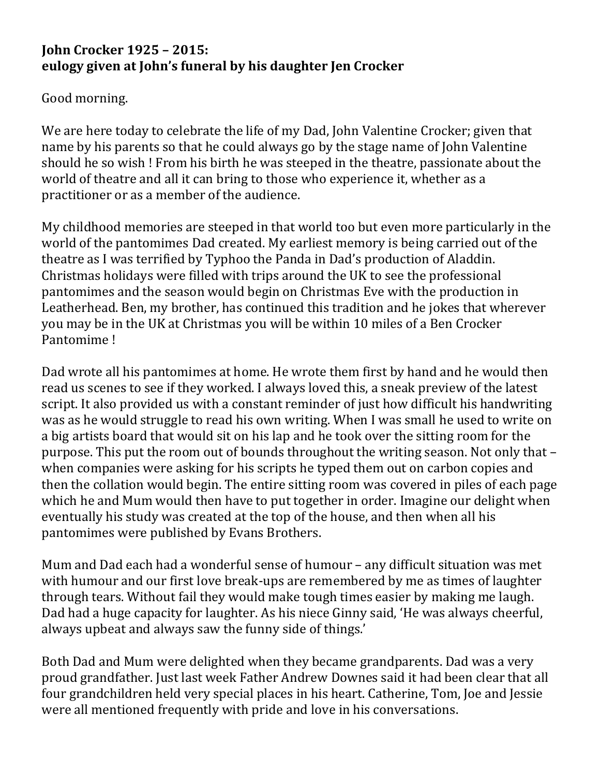## **John Crocker 1925 – 2015: eulogy given at John's funeral by his daughter Jen Crocker**

Good morning.

We are here today to celebrate the life of my Dad, John Valentine Crocker; given that name by his parents so that he could always go by the stage name of John Valentine should he so wish ! From his birth he was steeped in the theatre, passionate about the world of theatre and all it can bring to those who experience it, whether as a practitioner or as a member of the audience.

My childhood memories are steeped in that world too but even more particularly in the world of the pantomimes Dad created. My earliest memory is being carried out of the theatre as I was terrified by Typhoo the Panda in Dad's production of Aladdin. Christmas holidays were filled with trips around the UK to see the professional pantomimes and the season would begin on Christmas Eve with the production in Leatherhead. Ben, my brother, has continued this tradition and he jokes that wherever you may be in the UK at Christmas you will be within 10 miles of a Ben Crocker Pantomime !

Dad wrote all his pantomimes at home. He wrote them first by hand and he would then read us scenes to see if they worked. I always loved this, a sneak preview of the latest script. It also provided us with a constant reminder of just how difficult his handwriting was as he would struggle to read his own writing. When I was small he used to write on a big artists board that would sit on his lap and he took over the sitting room for the purpose. This put the room out of bounds throughout the writing season. Not only that – when companies were asking for his scripts he typed them out on carbon copies and then the collation would begin. The entire sitting room was covered in piles of each page which he and Mum would then have to put together in order. Imagine our delight when eventually his study was created at the top of the house, and then when all his pantomimes were published by Evans Brothers.

Mum and Dad each had a wonderful sense of humour – any difficult situation was met with humour and our first love break-ups are remembered by me as times of laughter through tears. Without fail they would make tough times easier by making me laugh. Dad had a huge capacity for laughter. As his niece Ginny said, 'He was always cheerful, always upbeat and always saw the funny side of things.'

Both Dad and Mum were delighted when they became grandparents. Dad was a very proud grandfather. Just last week Father Andrew Downes said it had been clear that all four grandchildren held very special places in his heart. Catherine, Tom, Joe and Jessie were all mentioned frequently with pride and love in his conversations.